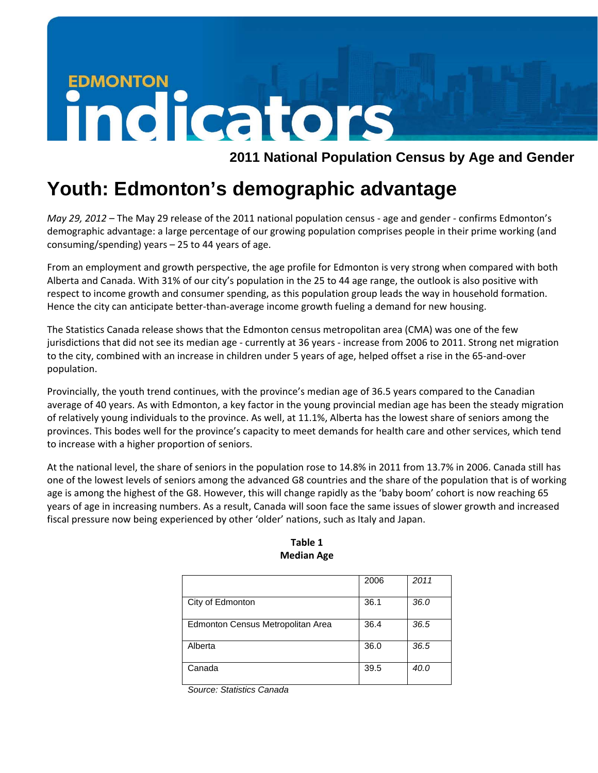## **EDMONTON** indicators

 **2011 National Population Census by Age and Gender** 

## **Youth: Edmonton's demographic advantage**

*May 29, 2012* – The May 29 release of the 2011 national population census ‐ age and gender ‐ confirms Edmonton's demographic advantage: a large percentage of our growing population comprises people in their prime working (and consuming/spending) years – 25 to 44 years of age.

From an employment and growth perspective, the age profile for Edmonton is very strong when compared with both Alberta and Canada. With 31% of our city's population in the 25 to 44 age range, the outlook is also positive with respect to income growth and consumer spending, as this population group leads the way in household formation. Hence the city can anticipate better-than-average income growth fueling a demand for new housing.

The Statistics Canada release shows that the Edmonton census metropolitan area (CMA) was one of the few jurisdictions that did not see its median age ‐ currently at 36 years ‐ increase from 2006 to 2011. Strong net migration to the city, combined with an increase in children under 5 years of age, helped offset a rise in the 65-and-over population.

Provincially, the youth trend continues, with the province's median age of 36.5 years compared to the Canadian average of 40 years. As with Edmonton, a key factor in the young provincial median age has been the steady migration of relatively young individuals to the province. As well, at 11.1%, Alberta has the lowest share of seniors among the provinces. This bodes well for the province's capacity to meet demands for health care and other services, which tend to increase with a higher proportion of seniors.

At the national level, the share of seniors in the population rose to 14.8% in 2011 from 13.7% in 2006. Canada still has one of the lowest levels of seniors among the advanced G8 countries and the share of the population that is of working age is among the highest of the G8. However, this will change rapidly as the 'baby boom' cohort is now reaching 65 years of age in increasing numbers. As a result, Canada will soon face the same issues of slower growth and increased fiscal pressure now being experienced by other 'older' nations, such as Italy and Japan.

|                                   | 2006 | 2011 |
|-----------------------------------|------|------|
| City of Edmonton                  | 36.1 | 36.0 |
| Edmonton Census Metropolitan Area | 36.4 | 36.5 |
| Alberta                           | 36.0 | 36.5 |
| Canada                            | 39.5 | 40.0 |

## **Table 1 Median Age**

*Source: Statistics Canada*